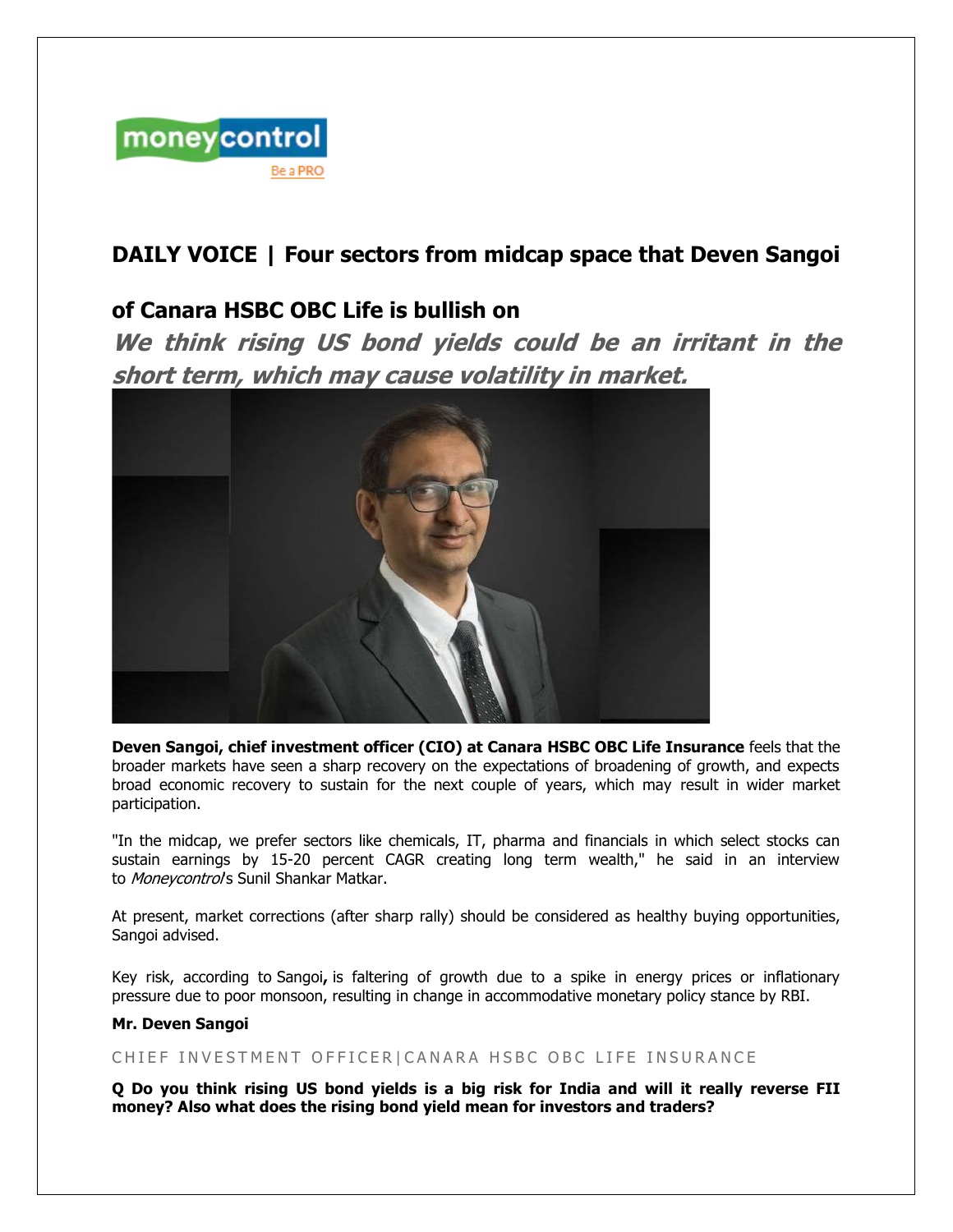

# **DAILY VOICE | Four sectors from midcap space that Deven Sangoi**

## **of Canara HSBC OBC Life is bullish on**

**We think rising US bond yields could be an irritant in the short term, which may cause volatility in market.**



**Deven Sangoi, chief investment officer (CIO) at Canara HSBC OBC Life Insurance** feels that the broader markets have seen a sharp recovery on the expectations of broadening of growth, and expects broad economic recovery to sustain for the next couple of years, which may result in wider market participation.

"In the midcap, we prefer sectors like chemicals, IT, pharma and financials in which select stocks can sustain earnings by 15-20 percent CAGR creating long term wealth," he said in an interview to *Monevcontrol's* Sunil Shankar Matkar.

At present, market corrections (after sharp rally) should be considered as healthy buying opportunities, Sangoi advised.

Key risk, according to Sangoi**,** is faltering of growth due to a spike in energy prices or inflationary pressure due to poor monsoon, resulting in change in accommodative monetary policy stance by RBI.

#### **Mr. Deven Sangoi**

## CHIEF INVESTMENT OFFICER|CANARA HSBC OBC LIFE INSURANCE

O Do you think rising US bond yields is a big risk for India and will it really reverse FII **money? Also what does the rising bond yield mean for investors and traders?**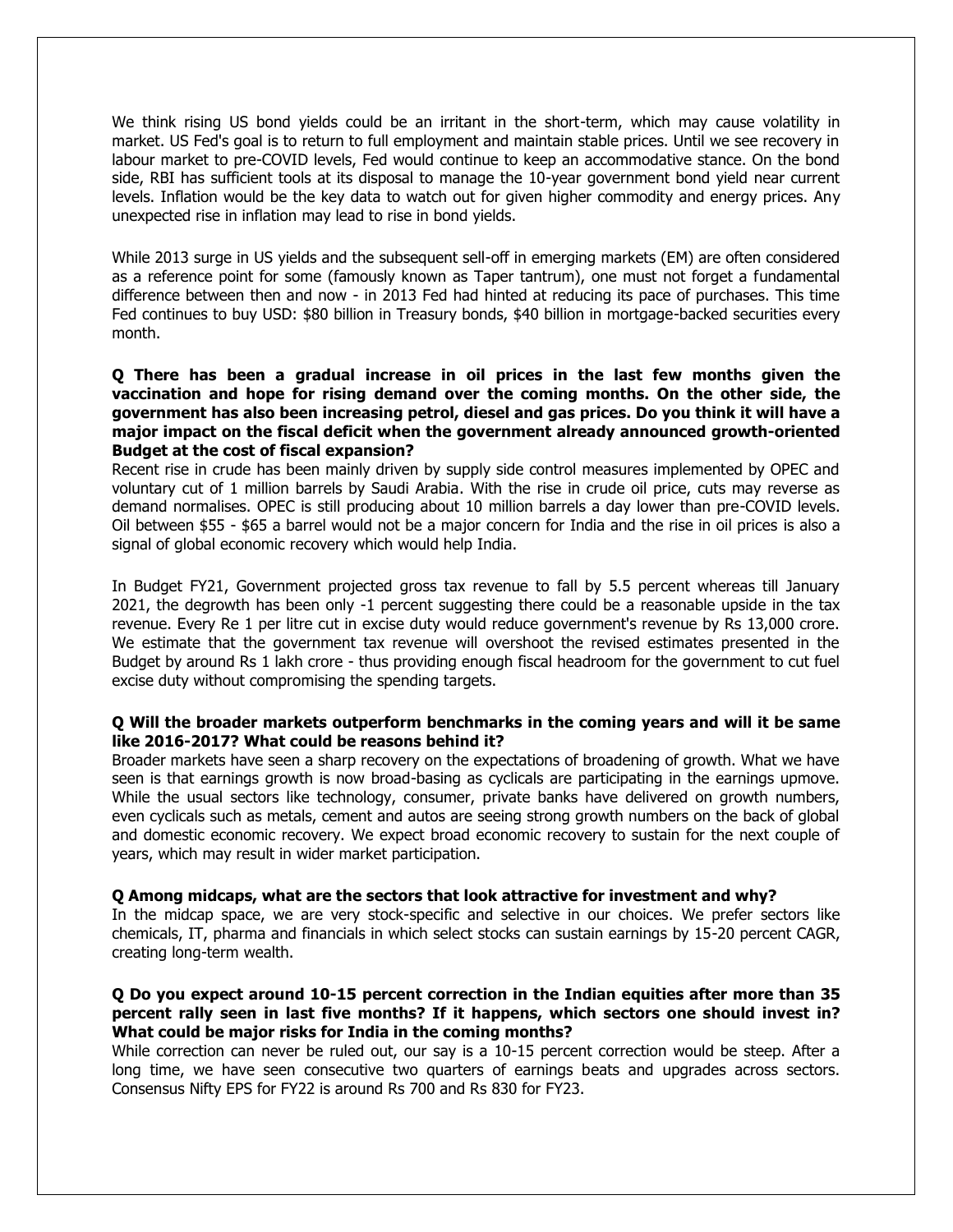We think rising US bond yields could be an irritant in the short-term, which may cause volatility in market. US Fed's goal is to return to full employment and maintain stable prices. Until we see recovery in labour market to pre-COVID levels, Fed would continue to keep an accommodative stance. On the bond side, RBI has sufficient tools at its disposal to manage the 10-year government bond yield near current levels. Inflation would be the key data to watch out for given higher commodity and energy prices. Any unexpected rise in inflation may lead to rise in bond yields.

While 2013 surge in US yields and the subsequent sell-off in emerging markets (EM) are often considered as a reference point for some (famously known as Taper tantrum), one must not forget a fundamental difference between then and now - in 2013 Fed had hinted at reducing its pace of purchases. This time Fed continues to buy USD: \$80 billion in Treasury bonds, \$40 billion in mortgage-backed securities every month.

## **Q There has been a gradual increase in oil prices in the last few months given the vaccination and hope for rising demand over the coming months. On the other side, the government has also been increasing petrol, diesel and gas prices. Do you think it will have a major impact on the fiscal deficit when the government already announced growth-oriented Budget at the cost of fiscal expansion?**

Recent rise in crude has been mainly driven by supply side control measures implemented by OPEC and voluntary cut of 1 million barrels by Saudi Arabia. With the rise in crude oil price, cuts may reverse as demand normalises. OPEC is still producing about 10 million barrels a day lower than pre-COVID levels. Oil between \$55 - \$65 a barrel would not be a major concern for India and the rise in oil prices is also a signal of global economic recovery which would help India.

In Budget FY21, Government projected gross tax revenue to fall by 5.5 percent whereas till January 2021, the degrowth has been only -1 percent suggesting there could be a reasonable upside in the tax revenue. Every Re 1 per litre cut in excise duty would reduce government's revenue by Rs 13,000 crore. We estimate that the government tax revenue will overshoot the revised estimates presented in the Budget by around Rs 1 lakh crore - thus providing enough fiscal headroom for the government to cut fuel excise duty without compromising the spending targets.

## **Q Will the broader markets outperform benchmarks in the coming years and will it be same like 2016-2017? What could be reasons behind it?**

Broader markets have seen a sharp recovery on the expectations of broadening of growth. What we have seen is that earnings growth is now broad-basing as cyclicals are participating in the earnings upmove. While the usual sectors like technology, consumer, private banks have delivered on growth numbers, even cyclicals such as metals, cement and autos are seeing strong growth numbers on the back of global and domestic economic recovery. We expect broad economic recovery to sustain for the next couple of years, which may result in wider market participation.

## **Q Among midcaps, what are the sectors that look attractive for investment and why?**

In the midcap space, we are very stock-specific and selective in our choices. We prefer sectors like chemicals, IT, pharma and financials in which select stocks can sustain earnings by 15-20 percent CAGR, creating long-term wealth.

## **Q Do you expect around 10-15 percent correction in the Indian equities after more than 35 percent rally seen in last five months? If it happens, which sectors one should invest in? What could be major risks for India in the coming months?**

While correction can never be ruled out, our say is a 10-15 percent correction would be steep. After a long time, we have seen consecutive two quarters of earnings beats and upgrades across sectors. Consensus Nifty EPS for FY22 is around Rs 700 and Rs 830 for FY23.